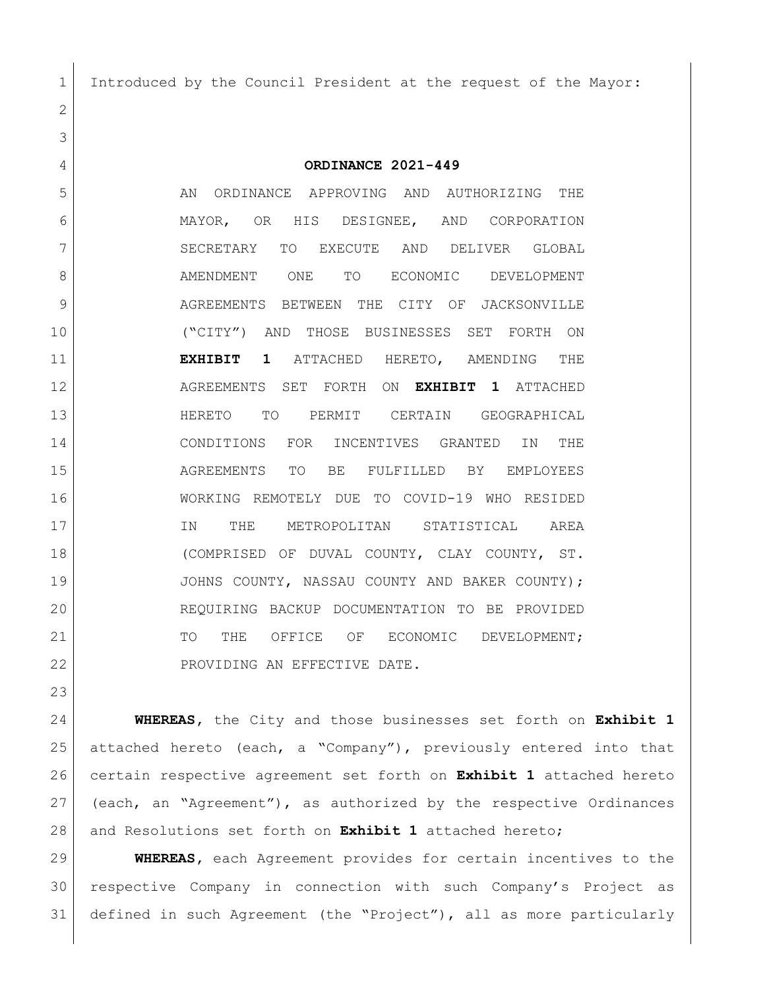Introduced by the Council President at the request of the Mayor:

 

## **ORDINANCE 2021-449**

5 AN ORDINANCE APPROVING AND AUTHORIZING THE MAYOR, OR HIS DESIGNEE, AND CORPORATION 7 SECRETARY TO EXECUTE AND DELIVER GLOBAL 8 AMENDMENT ONE TO ECONOMIC DEVELOPMENT 9 AGREEMENTS BETWEEN THE CITY OF JACKSONVILLE ("CITY") AND THOSE BUSINESSES SET FORTH ON **EXHIBIT 1** ATTACHED HERETO, AMENDING THE AGREEMENTS SET FORTH ON **EXHIBIT 1** ATTACHED HERETO TO PERMIT CERTAIN GEOGRAPHICAL CONDITIONS FOR INCENTIVES GRANTED IN THE AGREEMENTS TO BE FULFILLED BY EMPLOYEES WORKING REMOTELY DUE TO COVID-19 WHO RESIDED IN THE METROPOLITAN STATISTICAL AREA (COMPRISED OF DUVAL COUNTY, CLAY COUNTY, ST. JOHNS COUNTY, NASSAU COUNTY AND BAKER COUNTY); REQUIRING BACKUP DOCUMENTATION TO BE PROVIDED 21 TO THE OFFICE OF ECONOMIC DEVELOPMENT; 22 PROVIDING AN EFFECTIVE DATE.

 **WHEREAS,** the City and those businesses set forth on **Exhibit 1** attached hereto (each, a "Company"), previously entered into that certain respective agreement set forth on **Exhibit 1** attached hereto (each, an "Agreement"), as authorized by the respective Ordinances and Resolutions set forth on **Exhibit 1** attached hereto;

 **WHEREAS,** each Agreement provides for certain incentives to the respective Company in connection with such Company's Project as defined in such Agreement (the "Project"), all as more particularly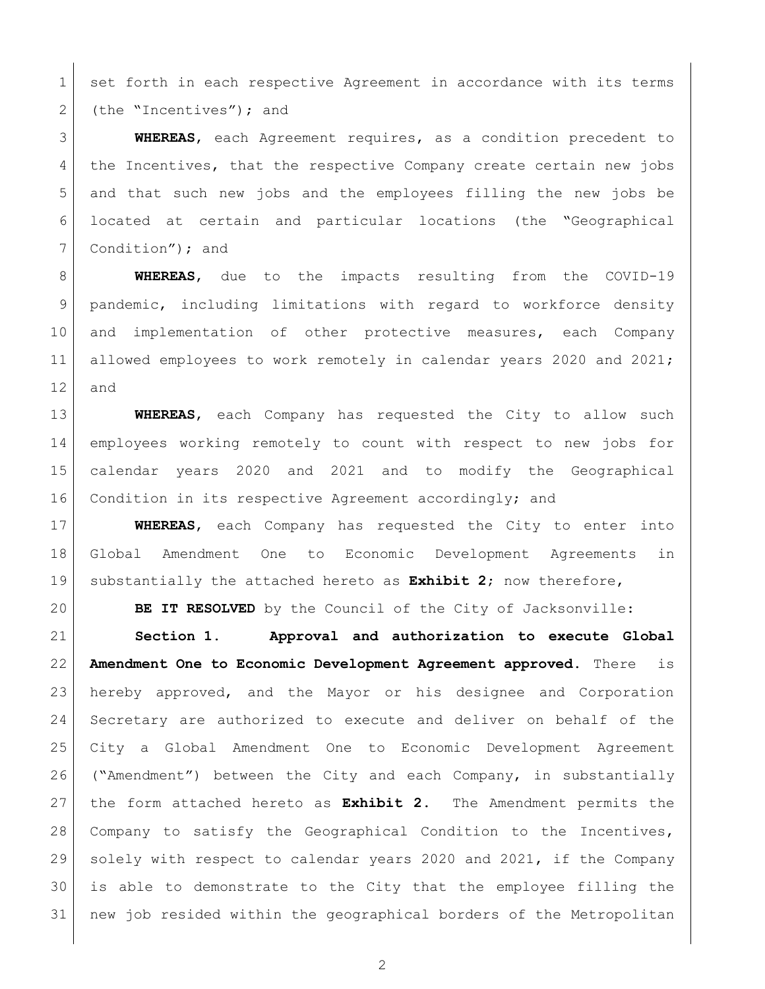1 set forth in each respective Agreement in accordance with its terms 2 (the "Incentives"); and

 **WHEREAS**, each Agreement requires, as a condition precedent to 4 the Incentives, that the respective Company create certain new jobs and that such new jobs and the employees filling the new jobs be located at certain and particular locations (the "Geographical 7 Condition"); and

 **WHEREAS**, due to the impacts resulting from the COVID-19 9 | pandemic, including limitations with regard to workforce density and implementation of other protective measures, each Company 11 allowed employees to work remotely in calendar years 2020 and 2021; and

 **WHEREAS**, each Company has requested the City to allow such employees working remotely to count with respect to new jobs for calendar years 2020 and 2021 and to modify the Geographical Condition in its respective Agreement accordingly; and

 **WHEREAS**, each Company has requested the City to enter into Global Amendment One to Economic Development Agreements in substantially the attached hereto as **Exhibit 2**; now therefore,

**BE IT RESOLVED** by the Council of the City of Jacksonville:

 **Section 1. Approval and authorization to execute Global Amendment One to Economic Development Agreement approved**. There is hereby approved, and the Mayor or his designee and Corporation Secretary are authorized to execute and deliver on behalf of the City a Global Amendment One to Economic Development Agreement ("Amendment") between the City and each Company, in substantially the form attached hereto as **Exhibit 2**. The Amendment permits the Company to satisfy the Geographical Condition to the Incentives, solely with respect to calendar years 2020 and 2021, if the Company is able to demonstrate to the City that the employee filling the new job resided within the geographical borders of the Metropolitan